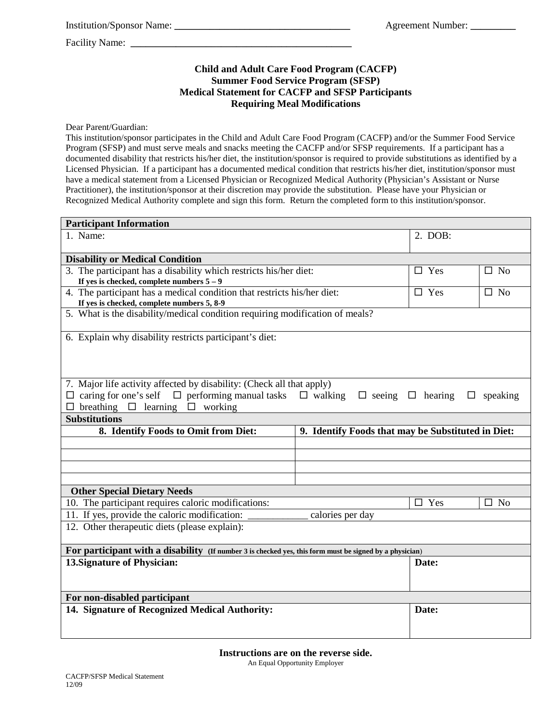Institution/Sponsor Name: **\_\_\_\_\_\_\_\_\_\_\_\_\_\_\_\_\_\_\_\_\_\_\_\_\_\_\_\_\_\_\_\_\_\_\_** Agreement Number: **\_\_\_\_\_\_\_\_\_** 

Facility Name:

### **Child and Adult Care Food Program (CACFP) Summer Food Service Program (SFSP) Medical Statement for CACFP and SFSP Participants Requiring Meal Modifications**

Dear Parent/Guardian:

This institution/sponsor participates in the Child and Adult Care Food Program (CACFP) and/or the Summer Food Service Program (SFSP) and must serve meals and snacks meeting the CACFP and/or SFSP requirements. If a participant has a documented disability that restricts his/her diet, the institution/sponsor is required to provide substitutions as identified by a Licensed Physician. If a participant has a documented medical condition that restricts his/her diet, institution/sponsor must have a medical statement from a Licensed Physician or Recognized Medical Authority (Physician's Assistant or Nurse Practitioner), the institution/sponsor at their discretion may provide the substitution. Please have your Physician or Recognized Medical Authority complete and sign this form. Return the completed form to this institution/sponsor.

| <b>Participant Information</b>                                                                                                                                                                                                                                     |  |               |              |
|--------------------------------------------------------------------------------------------------------------------------------------------------------------------------------------------------------------------------------------------------------------------|--|---------------|--------------|
| 1. Name:                                                                                                                                                                                                                                                           |  | 2. DOB:       |              |
| <b>Disability or Medical Condition</b>                                                                                                                                                                                                                             |  |               |              |
| 3. The participant has a disability which restricts his/her diet:                                                                                                                                                                                                  |  | $\Box$ Yes    | $\square$ No |
| If yes is checked, complete numbers $5-9$                                                                                                                                                                                                                          |  |               |              |
| 4. The participant has a medical condition that restricts his/her diet:<br>If yes is checked, complete numbers 5, 8-9                                                                                                                                              |  | $\square$ Yes | $\square$ No |
| 5. What is the disability/medical condition requiring modification of meals?                                                                                                                                                                                       |  |               |              |
| 6. Explain why disability restricts participant's diet:                                                                                                                                                                                                            |  |               |              |
| 7. Major life activity affected by disability: (Check all that apply)<br>$\Box$ caring for one's self $\Box$ performing manual tasks<br>$\Box$ walking $\Box$ seeing $\Box$ hearing $\Box$<br>speaking<br>$\square$ breathing $\square$ learning $\square$ working |  |               |              |
| <b>Substitutions</b>                                                                                                                                                                                                                                               |  |               |              |
| 8. Identify Foods to Omit from Diet:<br>9. Identify Foods that may be Substituted in Diet:                                                                                                                                                                         |  |               |              |
|                                                                                                                                                                                                                                                                    |  |               |              |
|                                                                                                                                                                                                                                                                    |  |               |              |
|                                                                                                                                                                                                                                                                    |  |               |              |
|                                                                                                                                                                                                                                                                    |  |               |              |
| <b>Other Special Dietary Needs</b>                                                                                                                                                                                                                                 |  |               |              |
| 10. The participant requires caloric modifications:                                                                                                                                                                                                                |  | $\Box$ Yes    | $\Box$ No    |
| 11. If yes, provide the caloric modification:<br>calories per day                                                                                                                                                                                                  |  |               |              |
| 12. Other therapeutic diets (please explain):                                                                                                                                                                                                                      |  |               |              |
| For participant with a disability (If number 3 is checked yes, this form must be signed by a physician)                                                                                                                                                            |  |               |              |
| 13. Signature of Physician:                                                                                                                                                                                                                                        |  | Date:         |              |
| For non-disabled participant                                                                                                                                                                                                                                       |  |               |              |
| 14. Signature of Recognized Medical Authority:                                                                                                                                                                                                                     |  | Date:         |              |
|                                                                                                                                                                                                                                                                    |  |               |              |

**Instructions are on the reverse side.**

An Equal Opportunity Employer